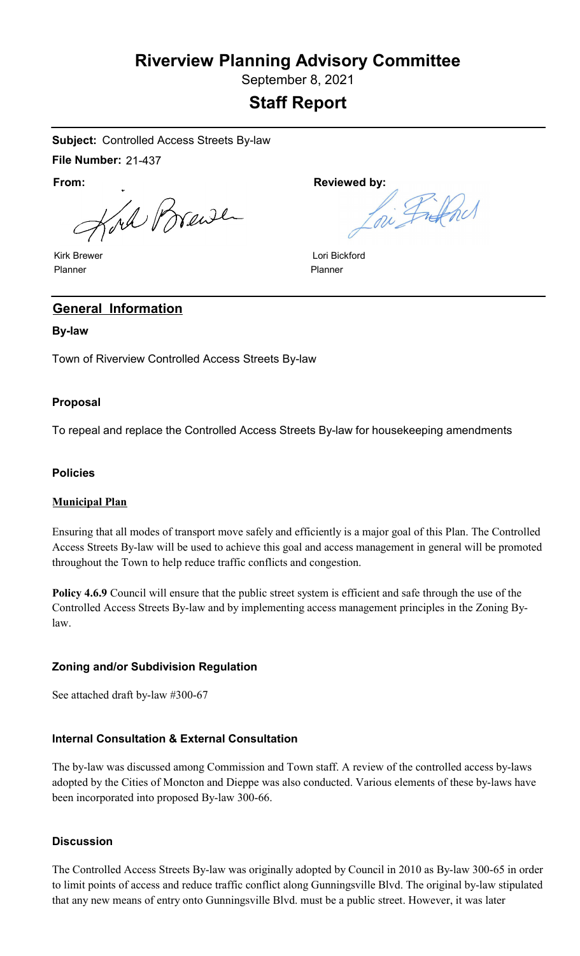# **Riverview Planning Advisory Committee**

September 8, 2021

# **Staff Report**

**Subject:** Controlled Access Streets By-law

**File Number:** 21-437

**From:**

Kord Brande

Kirk Brewer Planner

Reviewed by:<br>Ini Fithd

Lori Bickford Planner

# **General Information**

## **By-law**

Town of Riverview Controlled Access Streets By-law

# **Proposal**

To repeal and replace the Controlled Access Streets By-law for housekeeping amendments

#### **Policies**

#### **Municipal Plan**

Ensuring that all modes of transport move safely and efficiently is a major goal of this Plan. The Controlled Access Streets By-law will be used to achieve this goal and access management in general will be promoted throughout the Town to help reduce traffic conflicts and congestion.

Policy 4.6.9 Council will ensure that the public street system is efficient and safe through the use of the Controlled Access Streets By-law and by implementing access management principles in the Zoning Bylaw.

# **Zoning and/or Subdivision Regulation**

See attached draft by-law #300-67

# **Internal Consultation & External Consultation**

The by-law was discussed among Commission and Town staff. A review of the controlled access by-laws adopted by the Cities of Moncton and Dieppe was also conducted. Various elements of these by-laws have been incorporated into proposed By-law 300-66.

#### **Discussion**

The Controlled Access Streets By-law was originally adopted by Council in 2010 as By-law 300-65 in order to limit points of access and reduce traffic conflict along Gunningsville Blvd. The original by-law stipulated that any new means of entry onto Gunningsville Blvd. must be a public street. However, it was later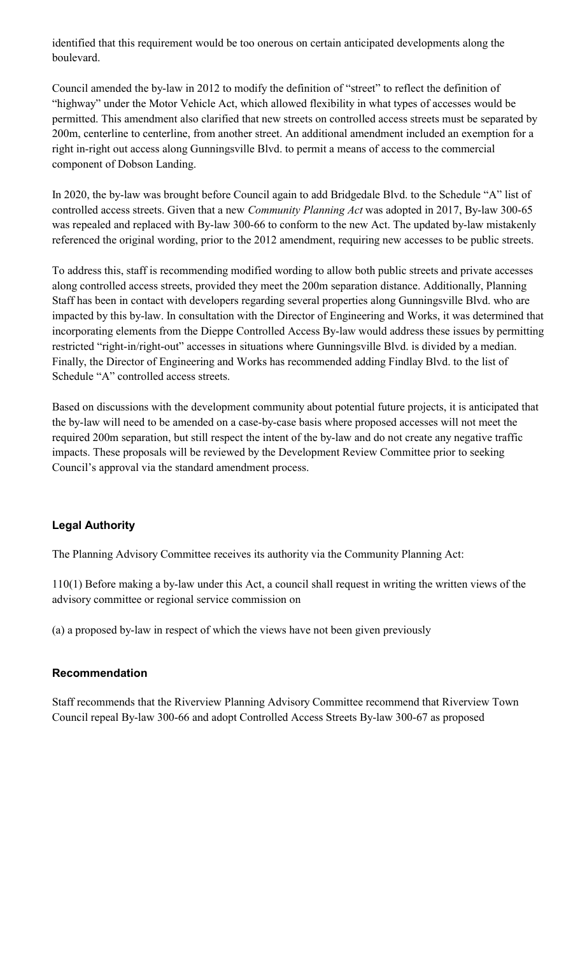identified that this requirement would be too onerous on certain anticipated developments along the boulevard.

Council amended the by-law in 2012 to modify the definition of "street" to reflect the definition of "highway" under the Motor Vehicle Act, which allowed flexibility in what types of accesses would be permitted. This amendment also clarified that new streets on controlled access streets must be separated by 200m, centerline to centerline, from another street. An additional amendment included an exemption for a right in-right out access along Gunningsville Blvd. to permit a means of access to the commercial component of Dobson Landing.

In 2020, the by-law was brought before Council again to add Bridgedale Blvd. to the Schedule "A" list of controlled access streets. Given that a new *Community Planning Act* was adopted in 2017, By-law 300-65 was repealed and replaced with By-law 300-66 to conform to the new Act. The updated by-law mistakenly referenced the original wording, prior to the 2012 amendment, requiring new accesses to be public streets.

To address this, staff is recommending modified wording to allow both public streets and private accesses along controlled access streets, provided they meet the 200m separation distance. Additionally, Planning Staff has been in contact with developers regarding several properties along Gunningsville Blvd. who are impacted by this by-law. In consultation with the Director of Engineering and Works, it was determined that incorporating elements from the Dieppe Controlled Access By-law would address these issues by permitting restricted "right-in/right-out" accesses in situations where Gunningsville Blvd. is divided by a median. Finally, the Director of Engineering and Works has recommended adding Findlay Blvd. to the list of Schedule "A" controlled access streets.

Based on discussions with the development community about potential future projects, it is anticipated that the by-law will need to be amended on a case-by-case basis where proposed accesses will not meet the required 200m separation, but still respect the intent of the by-law and do not create any negative traffic impacts. These proposals will be reviewed by the Development Review Committee prior to seeking Council's approval via the standard amendment process.

# **Legal Authority**

The Planning Advisory Committee receives its authority via the Community Planning Act:

110(1) Before making a by-law under this Act, a council shall request in writing the written views of the advisory committee or regional service commission on

(a) a proposed by-law in respect of which the views have not been given previously

# **Recommendation**

Staff recommends that the Riverview Planning Advisory Committee recommend that Riverview Town Council repeal By-law 300-66 and adopt Controlled Access Streets By-law 300-67 as proposed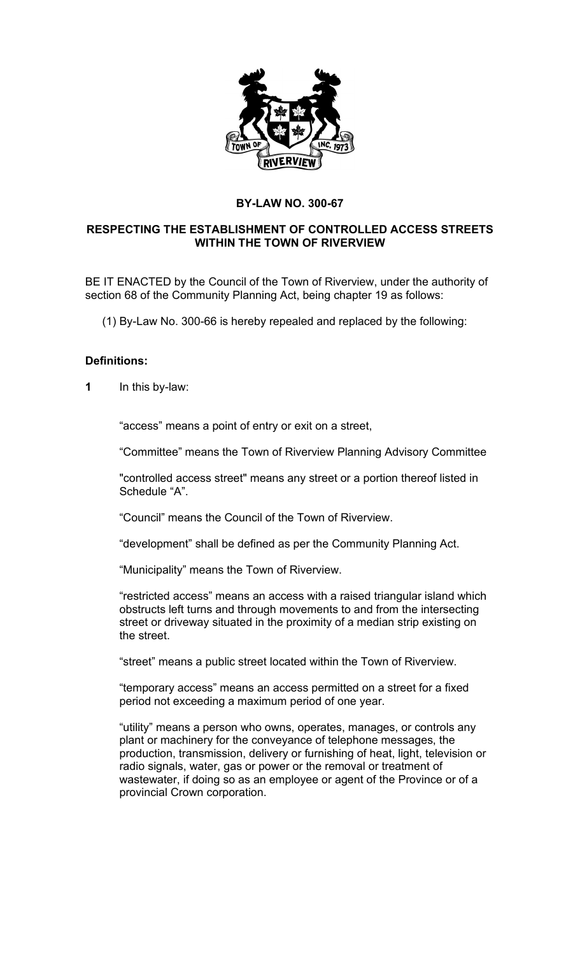

# **BY-LAW NO. 300-67**

# **RESPECTING THE ESTABLISHMENT OF CONTROLLED ACCESS STREETS WITHIN THE TOWN OF RIVERVIEW**

BE IT ENACTED by the Council of the Town of Riverview, under the authority of section 68 of the Community Planning Act, being chapter 19 as follows:

(1) By-Law No. 300-66 is hereby repealed and replaced by the following:

# **Definitions:**

**1** In this by-law:

"access" means a point of entry or exit on a street,

"Committee" means the Town of Riverview Planning Advisory Committee

"controlled access street" means any street or a portion thereof listed in Schedule "A".

"Council" means the Council of the Town of Riverview.

"development" shall be defined as per the Community Planning Act.

"Municipality" means the Town of Riverview.

"restricted access" means an access with a raised triangular island which obstructs left turns and through movements to and from the intersecting street or driveway situated in the proximity of a median strip existing on the street.

"street" means a public street located within the Town of Riverview.

"temporary access" means an access permitted on a street for a fixed period not exceeding a maximum period of one year.

"utility" means a person who owns, operates, manages, or controls any plant or machinery for the conveyance of telephone messages, the production, transmission, delivery or furnishing of heat, light, television or radio signals, water, gas or power or the removal or treatment of wastewater, if doing so as an employee or agent of the Province or of a provincial Crown corporation.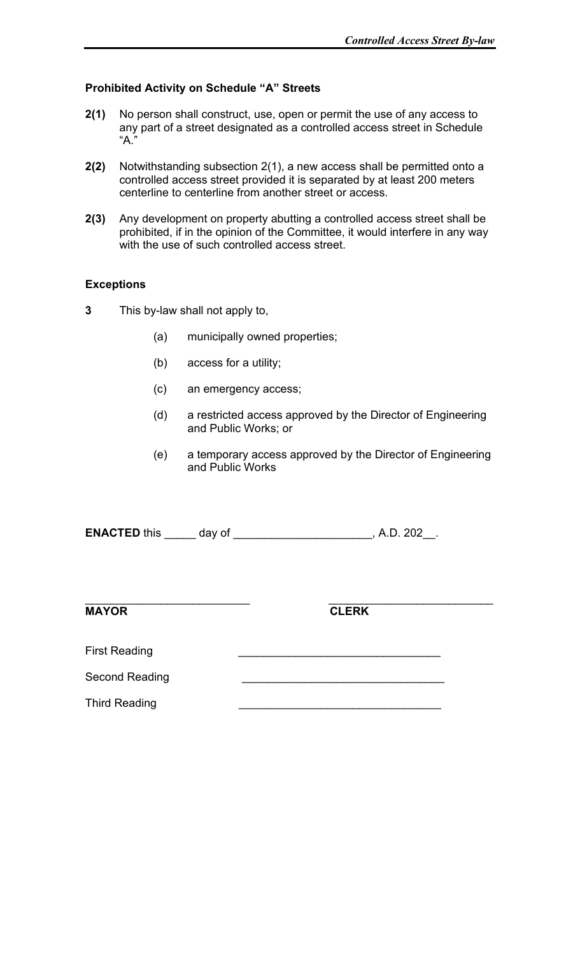# **Prohibited Activity on Schedule "A" Streets**

- **2(1)** No person shall construct, use, open or permit the use of any access to any part of a street designated as a controlled access street in Schedule "A."
- **2(2)** Notwithstanding subsection 2(1), a new access shall be permitted onto a controlled access street provided it is separated by at least 200 meters centerline to centerline from another street or access.
- **2(3)** Any development on property abutting a controlled access street shall be prohibited, if in the opinion of the Committee, it would interfere in any way with the use of such controlled access street.

# **Exceptions**

- **3** This by-law shall not apply to,
	- (a) municipally owned properties;
	- (b) access for a utility;
	- (c) an emergency access;
	- (d) a restricted access approved by the Director of Engineering and Public Works; or
	- (e) a temporary access approved by the Director of Engineering and Public Works

| <b>ENACTED this</b> |  |  |
|---------------------|--|--|
|---------------------|--|--|

**MAYOR CLERK**

\_\_\_\_\_\_\_\_\_\_\_\_\_\_\_\_\_\_\_\_\_\_\_\_\_\_ \_\_\_\_\_\_\_\_\_\_\_\_\_\_\_\_\_\_\_\_\_\_\_\_\_\_

First Reading

Second Reading

Third Reading